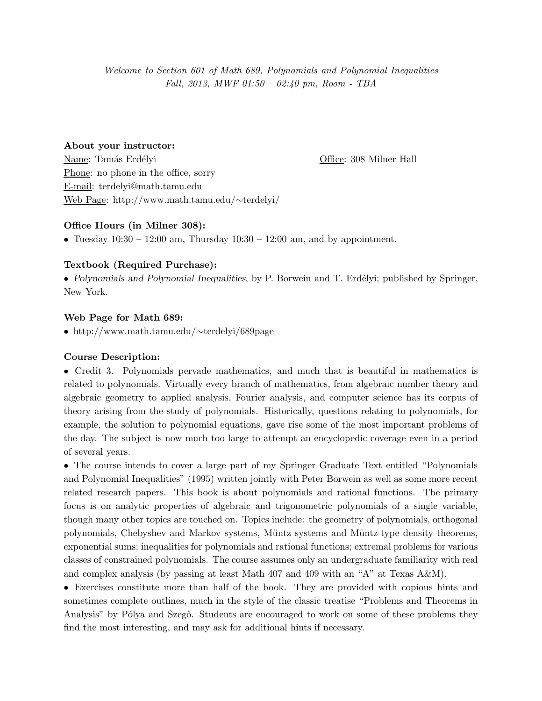Welcome to Section 601 of Math 689, Polynomials and Polynomial Inequalities Fall, 2013, MWF 01:50 – 02:40 pm, Room - TBA

#### About your instructor:

Name: Tam´as Erd´elyi Office: 308 Milner Hall Phone: no phone in the office, sorry E-mail: terdelyi@math.tamu.edu Web Page: http://www.math.tamu.edu/∼terdelyi/

## Office Hours (in Milner 308):

• Tuesday  $10:30 - 12:00$  am, Thursday  $10:30 - 12:00$  am, and by appointment.

# Textbook (Required Purchase):

• Polynomials and Polynomial Inequalities, by P. Borwein and T. Erdélyi; published by Springer, New York.

## Web Page for Math 689:

• http://www.math.tamu.edu/∼terdelyi/689page

#### Course Description:

• Credit 3. Polynomials pervade mathematics, and much that is beautiful in mathematics is related to polynomials. Virtually every branch of mathematics, from algebraic number theory and algebraic geometry to applied analysis, Fourier analysis, and computer science has its corpus of theory arising from the study of polynomials. Historically, questions relating to polynomials, for example, the solution to polynomial equations, gave rise some of the most important problems of the day. The subject is now much too large to attempt an encyclopedic coverage even in a period of several years.

• The course intends to cover a large part of my Springer Graduate Text entitled "Polynomials and Polynomial Inequalities" (1995) written jointly with Peter Borwein as well as some more recent related research papers. This book is about polynomials and rational functions. The primary focus is on analytic properties of algebraic and trigonometric polynomials of a single variable, though many other topics are touched on. Topics include: the geometry of polynomials, orthogonal polynomials, Chebyshev and Markov systems, M¨untz systems and M¨untz-type density theorems, exponential sums; inequalities for polynomials and rational functions; extremal problems for various classes of constrained polynomials. The course assumes only an undergraduate familiarity with real and complex analysis (by passing at least Math 407 and 409 with an "A" at Texas A&M).

• Exercises constitute more than half of the book. They are provided with copious hints and sometimes complete outlines, much in the style of the classic treatise "Problems and Theorems in Analysis" by Pólya and Szegő. Students are encouraged to work on some of these problems they find the most interesting, and may ask for additional hints if necessary.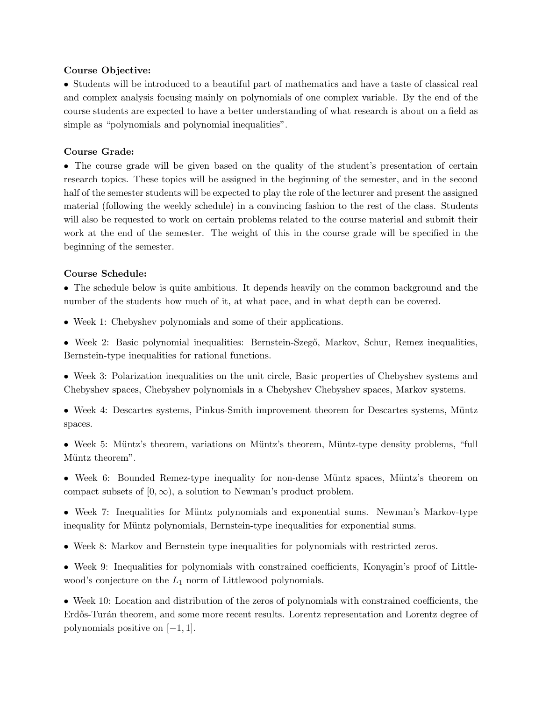## Course Objective:

• Students will be introduced to a beautiful part of mathematics and have a taste of classical real and complex analysis focusing mainly on polynomials of one complex variable. By the end of the course students are expected to have a better understanding of what research is about on a field as simple as "polynomials and polynomial inequalities".

## Course Grade:

• The course grade will be given based on the quality of the student's presentation of certain research topics. These topics will be assigned in the beginning of the semester, and in the second half of the semester students will be expected to play the role of the lecturer and present the assigned material (following the weekly schedule) in a convincing fashion to the rest of the class. Students will also be requested to work on certain problems related to the course material and submit their work at the end of the semester. The weight of this in the course grade will be specified in the beginning of the semester.

#### Course Schedule:

• The schedule below is quite ambitious. It depends heavily on the common background and the number of the students how much of it, at what pace, and in what depth can be covered.

• Week 1: Chebyshev polynomials and some of their applications.

• Week 2: Basic polynomial inequalities: Bernstein-Szegő, Markov, Schur, Remez inequalities, Bernstein-type inequalities for rational functions.

• Week 3: Polarization inequalities on the unit circle, Basic properties of Chebyshev systems and Chebyshev spaces, Chebyshev polynomials in a Chebyshev Chebyshev spaces, Markov systems.

• Week 4: Descartes systems, Pinkus-Smith improvement theorem for Descartes systems, Müntz spaces.

• Week 5: Müntz's theorem, variations on Müntz's theorem, Müntz-type density problems, "full Müntz theorem".

• Week 6: Bounded Remez-type inequality for non-dense Müntz spaces, Müntz's theorem on compact subsets of  $[0, \infty)$ , a solution to Newman's product problem.

• Week 7: Inequalities for Müntz polynomials and exponential sums. Newman's Markov-type inequality for Müntz polynomials, Bernstein-type inequalities for exponential sums.

• Week 8: Markov and Bernstein type inequalities for polynomials with restricted zeros.

• Week 9: Inequalities for polynomials with constrained coefficients, Konyagin's proof of Littlewood's conjecture on the  $L_1$  norm of Littlewood polynomials.

• Week 10: Location and distribution of the zeros of polynomials with constrained coefficients, the Erdős-Turán theorem, and some more recent results. Lorentz representation and Lorentz degree of polynomials positive on [−1, 1].